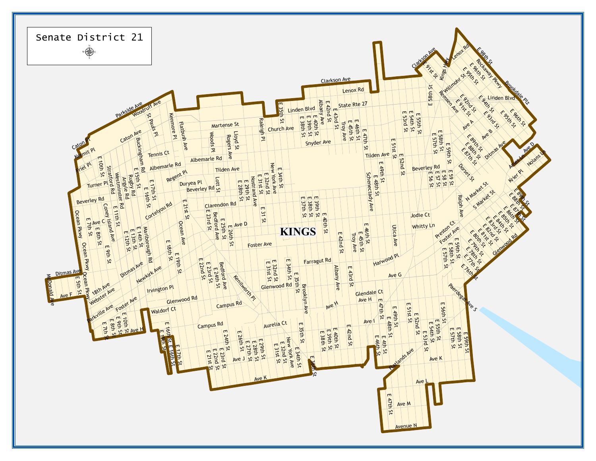